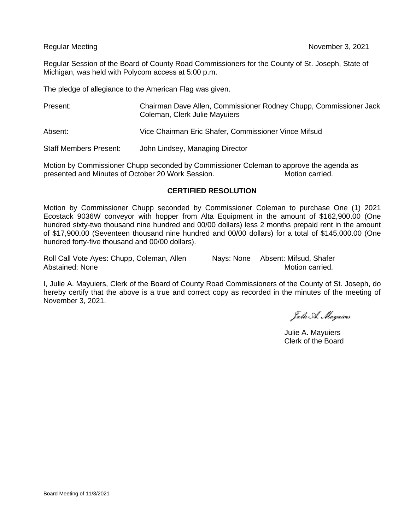Regular Session of the Board of County Road Commissioners for the County of St. Joseph, State of Michigan, was held with Polycom access at 5:00 p.m.

The pledge of allegiance to the American Flag was given.

| Present:                      | Chairman Dave Allen, Commissioner Rodney Chupp, Commissioner Jack<br>Coleman, Clerk Julie Mayuiers |
|-------------------------------|----------------------------------------------------------------------------------------------------|
| Absent:                       | Vice Chairman Eric Shafer, Commissioner Vince Mifsud                                               |
| <b>Staff Members Present:</b> | John Lindsey, Managing Director                                                                    |

Motion by Commissioner Chupp seconded by Commissioner Coleman to approve the agenda as presented and Minutes of October 20 Work Session. Motion carried.

# **CERTIFIED RESOLUTION**

Motion by Commissioner Chupp seconded by Commissioner Coleman to purchase One (1) 2021 Ecostack 9036W conveyor with hopper from Alta Equipment in the amount of \$162,900.00 (One hundred sixty-two thousand nine hundred and 00/00 dollars) less 2 months prepaid rent in the amount of \$17,900.00 (Seventeen thousand nine hundred and 00/00 dollars) for a total of \$145,000.00 (One hundred forty-five thousand and 00/00 dollars).

Roll Call Vote Ayes: Chupp, Coleman, Allen Nays: None Absent: Mifsud, Shafer Abstained: None Motion carried.

I, Julie A. Mayuiers, Clerk of the Board of County Road Commissioners of the County of St. Joseph, do hereby certify that the above is a true and correct copy as recorded in the minutes of the meeting of November 3, 2021.

Julie A. Mayuiers

Julie A. Mayuiers Clerk of the Board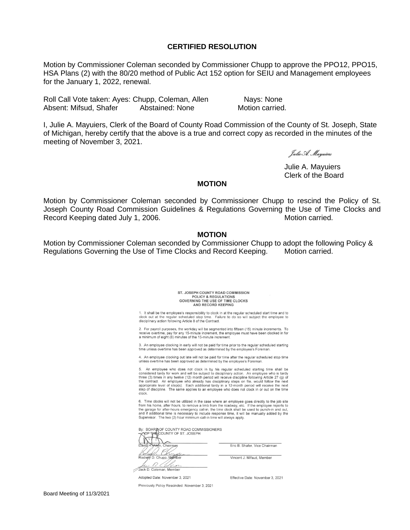### **CERTIFIED RESOLUTION**

Motion by Commissioner Coleman seconded by Commissioner Chupp to approve the PPO12, PPO15, HSA Plans (2) with the 80/20 method of Public Act 152 option for SEIU and Management employees for the January 1, 2022, renewal.

Roll Call Vote taken: Ayes: Chupp, Coleman, Allen Nays: None Absent: Mifsud, Shafer Abstained: None Motion carried.

I, Julie A. Mayuiers, Clerk of the Board of County Road Commission of the County of St. Joseph, State of Michigan, hereby certify that the above is a true and correct copy as recorded in the minutes of the meeting of November 3, 2021.

Julie A. Mayuiers

Julie A. Mayuiers Clerk of the Board

### **MOTION**

Motion by Commissioner Coleman seconded by Commissioner Chupp to rescind the Policy of St. Joseph County Road Commission Guidelines & Regulations Governing the Use of Time Clocks and Record Keeping dated July 1, 2006. Notion carried. Motion carried.

## **MOTION**

Motion by Commissioner Coleman seconded by Commissioner Chupp to adopt the following Policy & Regulations Governing the Use of Time Clocks and Record Keeping. Motion carried.

#### ST. JOSEPH COUNTY ROAD COMMISSION POLICY & REGULATIONS<br>GOVERNING THE USE OF TIME CLOCKS AND RECORD KEEPING

1. It shall be the employee's responsibility to clock in at the regular scheduled start time and to clock out at the regular scheduled stop time. Failure to do so will subject the employee to disciplinary action following Article 8 of the Contract.

2. For payroll purposes, the workday will be segmented into fifteen (15) minute increments. receive overtime, pay for any 15-minute increment, the employee must have been clocked in for a minimum of eight (8) minutes of the 15-minute increment

3. An employee clocking in early will not be paid for time prior to the regular scheduled starting time unless overtime has been approved as determined by the employee's Foreman.

4. An employee clocking out late will not be paid for time after the regular scheduled stop time unless overtime has been approved as determined by the employee's Foreman

5. An employee who does not clock in by his regular scheduled starting time shall be considered tardy for work and will be subject to disciplinary action. An employee who is tardy three (3) times in any twelve (12) month period will receive discipline following Article 27 (g) of the contract. An employee who already has disciplinary steps on file, would follow the appropriate level of step(s). Each additional tardy in a 12-month period will receive the step of discipline. The same applies to an employee who does not clock in or out on the time clock

6. Time clocks will not be utilized in the case where an employee goes directly to the job site from his home, after hours, to remove a limb from the roadway, etc. If the employee reports to the garage for atter-hours emergency call-in, the time dock shall be used to punch-in and out, and if additional time is necess

By: BOARD OF COUNTY ROAD COMMISSIONERS<br>A COFTHE COUNTY OF ST. JOSEPH

Chairman 61. C D. Chupp, Membe  $\rightarrow$ 

Jack D. Coleman, Member

Eric B. Shafer, Vice Chairman

Vincent J. Mifsud, Member

Adopted Date: November 3, 2021

Previously Policy Rescinded: November 3, 2021

Effective Date: November 3, 2021